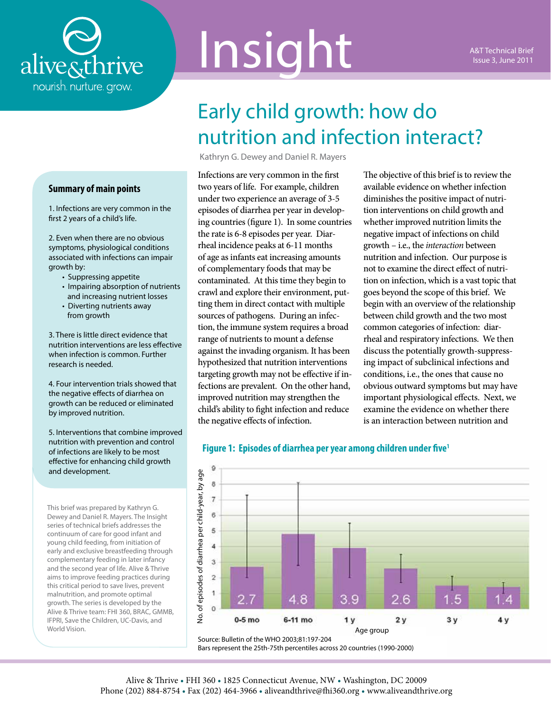

# Insight

# Early child growth: how do nutrition and infection interact?

Kathryn G. Dewey and Daniel R. Mayers

Infections are very common in the first two years of life. For example, children under two experience an average of 3-5 episodes of diarrhea per year in developing countries (figure 1). In some countries the rate is 6-8 episodes per year. Diarrheal incidence peaks at 6-11 months of age as infants eat increasing amounts of complementary foods that may be contaminated. At this time they begin to crawl and explore their environment, putting them in direct contact with multiple sources of pathogens. During an infection, the immune system requires a broad range of nutrients to mount a defense against the invading organism. It has been hypothesized that nutrition interventions targeting growth may not be effective if infections are prevalent. On the other hand, improved nutrition may strengthen the child's ability to fight infection and reduce the negative effects of infection.

The objective of this brief is to review the available evidence on whether infection diminishes the positive impact of nutrition interventions on child growth and whether improved nutrition limits the negative impact of infections on child growth – i.e., the *interaction* between nutrition and infection. Our purpose is not to examine the direct effect of nutrition on infection, which is a vast topic that goes beyond the scope of this brief. We begin with an overview of the relationship between child growth and the two most common categories of infection: diarrheal and respiratory infections. We then discuss the potentially growth-suppressing impact of subclinical infections and conditions, i.e., the ones that cause no obvious outward symptoms but may have important physiological effects. Next, we examine the evidence on whether there is an interaction between nutrition and



#### **Figure 1: Episodes of diarrhea per year among children under five1**

**Summary of main points**

1. Infections are very common in the first 2 years of a child's life.

2. Even when there are no obvious symptoms, physiological conditions associated with infections can impair growth by:

- Suppressing appetite
- Impairing absorption of nutrients and increasing nutrient losses
- Diverting nutrients away from growth

3. There is little direct evidence that nutrition interventions are less effective when infection is common. Further research is needed.

4. Four intervention trials showed that the negative effects of diarrhea on growth can be reduced or eliminated by improved nutrition.

5. Interventions that combine improved nutrition with prevention and control of infections are likely to be most effective for enhancing child growth and development.

This brief was prepared by Kathryn G. Dewey and Daniel R. Mayers. The Insight series of technical briefs addresses the continuum of care for good infant and young child feeding, from initiation of early and exclusive breastfeeding through complementary feeding in later infancy and the second year of life. Alive & Thrive aims to improve feeding practices during this critical period to save lives, prevent malnutrition, and promote optimal growth. The series is developed by the Alive & Thrive team: FHI 360, BRAC, GMMB, IFPRI, Save the Children, UC-Davis, and World Vision.

Source: Bulletin of the WHO 2003;81:197-204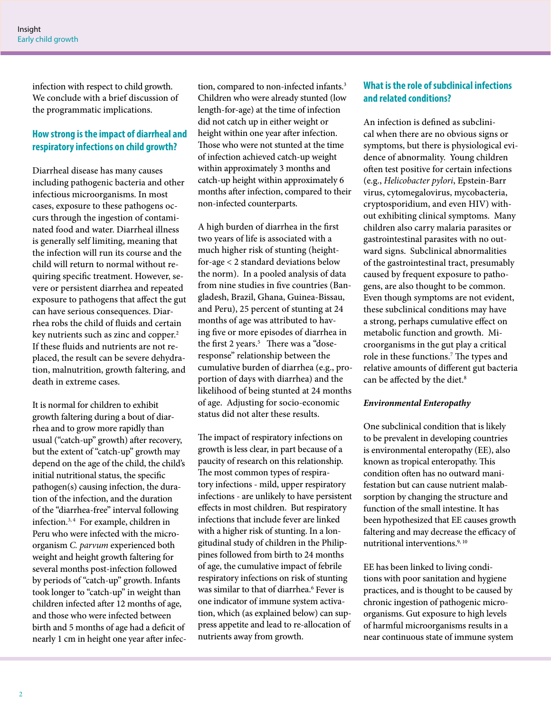infection with respect to child growth. We conclude with a brief discussion of the programmatic implications.

# **How strong is the impact of diarrheal and respiratory infections on child growth?**

Diarrheal disease has many causes including pathogenic bacteria and other infectious microorganisms. In most cases, exposure to these pathogens occurs through the ingestion of contaminated food and water. Diarrheal illness is generally self limiting, meaning that the infection will run its course and the child will return to normal without requiring specific treatment. However, severe or persistent diarrhea and repeated exposure to pathogens that affect the gut can have serious consequences. Diarrhea robs the child of fluids and certain key nutrients such as zinc and copper.<sup>2</sup> If these fluids and nutrients are not replaced, the result can be severe dehydration, malnutrition, growth faltering, and death in extreme cases.

It is normal for children to exhibit growth faltering during a bout of diarrhea and to grow more rapidly than usual ("catch-up" growth) after recovery, but the extent of "catch-up" growth may depend on the age of the child, the child's initial nutritional status, the specific pathogen(s) causing infection, the duration of the infection, and the duration of the "diarrhea-free" interval following infection.3, 4 For example, children in Peru who were infected with the microorganism *C. parvum* experienced both weight and height growth faltering for several months post-infection followed by periods of "catch-up" growth. Infants took longer to "catch-up" in weight than children infected after 12 months of age, and those who were infected between birth and 5 months of age had a deficit of nearly 1 cm in height one year after infec-

tion, compared to non-infected infants.<sup>3</sup> Children who were already stunted (low length-for-age) at the time of infection did not catch up in either weight or height within one year after infection. Those who were not stunted at the time of infection achieved catch-up weight within approximately 3 months and catch-up height within approximately 6 months after infection, compared to their non-infected counterparts.

A high burden of diarrhea in the first two years of life is associated with a much higher risk of stunting (heightfor-age < 2 standard deviations below the norm). In a pooled analysis of data from nine studies in five countries (Bangladesh, Brazil, Ghana, Guinea-Bissau, and Peru), 25 percent of stunting at 24 months of age was attributed to having five or more episodes of diarrhea in the first 2 years.<sup>5</sup> There was a "doseresponse" relationship between the cumulative burden of diarrhea (e.g., proportion of days with diarrhea) and the likelihood of being stunted at 24 months of age. Adjusting for socio-economic status did not alter these results.

The impact of respiratory infections on growth is less clear, in part because of a paucity of research on this relationship. The most common types of respiratory infections - mild, upper respiratory infections - are unlikely to have persistent effects in most children. But respiratory infections that include fever are linked with a higher risk of stunting. In a longitudinal study of children in the Philippines followed from birth to 24 months of age, the cumulative impact of febrile respiratory infections on risk of stunting was similar to that of diarrhea.<sup>6</sup> Fever is one indicator of immune system activation, which (as explained below) can suppress appetite and lead to re-allocation of nutrients away from growth.

# **What is the role of subclinical infections and related conditions?**

An infection is defined as subclinical when there are no obvious signs or symptoms, but there is physiological evidence of abnormality. Young children often test positive for certain infections (e.g., *Helicobacter pylori*, Epstein-Barr virus, cytomegalovirus, mycobacteria, cryptosporidium, and even HIV) without exhibiting clinical symptoms. Many children also carry malaria parasites or gastrointestinal parasites with no outward signs. Subclinical abnormalities of the gastrointestinal tract, presumably caused by frequent exposure to pathogens, are also thought to be common. Even though symptoms are not evident, these subclinical conditions may have a strong, perhaps cumulative effect on metabolic function and growth. Microorganisms in the gut play a critical role in these functions.<sup>7</sup> The types and relative amounts of different gut bacteria can be affected by the diet.<sup>8</sup>

#### *Environmental Enteropathy*

One subclinical condition that is likely to be prevalent in developing countries is environmental enteropathy (EE), also known as tropical enteropathy. This condition often has no outward manifestation but can cause nutrient malabsorption by changing the structure and function of the small intestine. It has been hypothesized that EE causes growth faltering and may decrease the efficacy of nutritional interventions.<sup>9, 10</sup>

EE has been linked to living conditions with poor sanitation and hygiene practices, and is thought to be caused by chronic ingestion of pathogenic microorganisms. Gut exposure to high levels of harmful microorganisms results in a near continuous state of immune system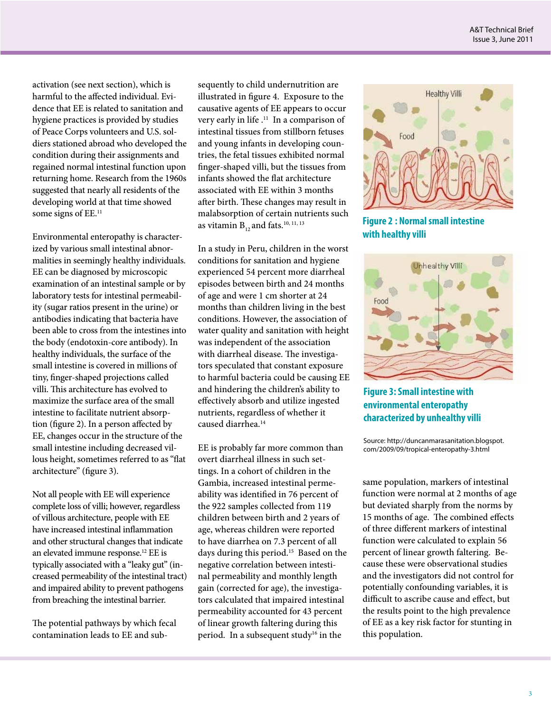activation (see next section), which is harmful to the affected individual. Evidence that EE is related to sanitation and hygiene practices is provided by studies of Peace Corps volunteers and U.S. soldiers stationed abroad who developed the condition during their assignments and regained normal intestinal function upon returning home. Research from the 1960s suggested that nearly all residents of the developing world at that time showed some signs of EE.<sup>11</sup>

Environmental enteropathy is characterized by various small intestinal abnormalities in seemingly healthy individuals. EE can be diagnosed by microscopic examination of an intestinal sample or by laboratory tests for intestinal permeability (sugar ratios present in the urine) or antibodies indicating that bacteria have been able to cross from the intestines into the body (endotoxin-core antibody). In healthy individuals, the surface of the small intestine is covered in millions of tiny, finger-shaped projections called villi. This architecture has evolved to maximize the surface area of the small intestine to facilitate nutrient absorption (figure 2). In a person affected by EE, changes occur in the structure of the small intestine including decreased villous height, sometimes referred to as "flat architecture" (figure 3).

Not all people with EE will experience complete loss of villi; however, regardless of villous architecture, people with EE have increased intestinal inflammation and other structural changes that indicate an elevated immune response.12 EE is typically associated with a "leaky gut" (increased permeability of the intestinal tract) and impaired ability to prevent pathogens from breaching the intestinal barrier.

The potential pathways by which fecal contamination leads to EE and sub-

sequently to child undernutrition are illustrated in figure 4. Exposure to the causative agents of EE appears to occur very early in life .<sup>11</sup> In a comparison of intestinal tissues from stillborn fetuses and young infants in developing countries, the fetal tissues exhibited normal finger-shaped villi, but the tissues from infants showed the flat architecture associated with EE within 3 months after birth. These changes may result in malabsorption of certain nutrients such as vitamin  $B_{12}$  and fats.<sup>10, 11, 13</sup>

In a study in Peru, children in the worst conditions for sanitation and hygiene experienced 54 percent more diarrheal episodes between birth and 24 months of age and were 1 cm shorter at 24 months than children living in the best conditions. However, the association of water quality and sanitation with height was independent of the association with diarrheal disease. The investigators speculated that constant exposure to harmful bacteria could be causing EE and hindering the children's ability to effectively absorb and utilize ingested nutrients, regardless of whether it caused diarrhea.<sup>14</sup>

EE is probably far more common than overt diarrheal illness in such settings. In a cohort of children in the Gambia, increased intestinal permeability was identified in 76 percent of the 922 samples collected from 119 children between birth and 2 years of age, whereas children were reported to have diarrhea on 7.3 percent of all days during this period.<sup>15</sup> Based on the negative correlation between intestinal permeability and monthly length gain (corrected for age), the investigators calculated that impaired intestinal permeability accounted for 43 percent of linear growth faltering during this period. In a subsequent study<sup>16</sup> in the







**Figure 3: Small intestine with environmental enteropathy characterized by unhealthy villi**

Source: http://duncanmarasanitation.blogspot. com/2009/09/tropical-enteropathy-3.html

same population, markers of intestinal function were normal at 2 months of age but deviated sharply from the norms by 15 months of age. The combined effects of three different markers of intestinal function were calculated to explain 56 percent of linear growth faltering. Because these were observational studies and the investigators did not control for potentially confounding variables, it is difficult to ascribe cause and effect, but the results point to the high prevalence of EE as a key risk factor for stunting in this population.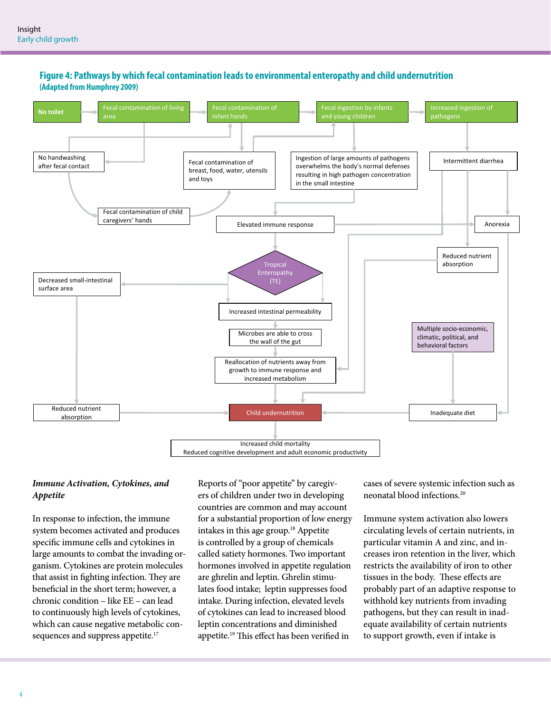

### **Figure 4: Pathways by which fecal contamination leads to environmental enteropathy and child undernutrition (Adapted from Humphrey 2009)**

#### *Immune Activation, Cytokines, and Appetite*

In response to infection, the immune system becomes activated and produces specific immune cells and cytokines in large amounts to combat the invading organism. Cytokines are protein molecules that assist in fighting infection. They are beneficial in the short term; however, a chronic condition – like EE – can lead to continuously high levels of cytokines, which can cause negative metabolic consequences and suppress appetite.<sup>17</sup>

Reports of "poor appetite" by caregivers of children under two in developing countries are common and may account for a substantial proportion of low energy intakes in this age group.<sup>18</sup> Appetite is controlled by a group of chemicals called satiety hormones. Two important hormones involved in appetite regulation are ghrelin and leptin. Ghrelin stimulates food intake; leptin suppresses food intake. During infection, elevated levels of cytokines can lead to increased blood leptin concentrations and diminished appetite.<sup>19</sup> This effect has been verified in

cases of severe systemic infection such as neonatal blood infections.20

Immune system activation also lowers circulating levels of certain nutrients, in particular vitamin A and zinc, and increases iron retention in the liver, which restricts the availability of iron to other tissues in the body. These effects are probably part of an adaptive response to withhold key nutrients from invading pathogens, but they can result in inadequate availability of certain nutrients to support growth, even if intake is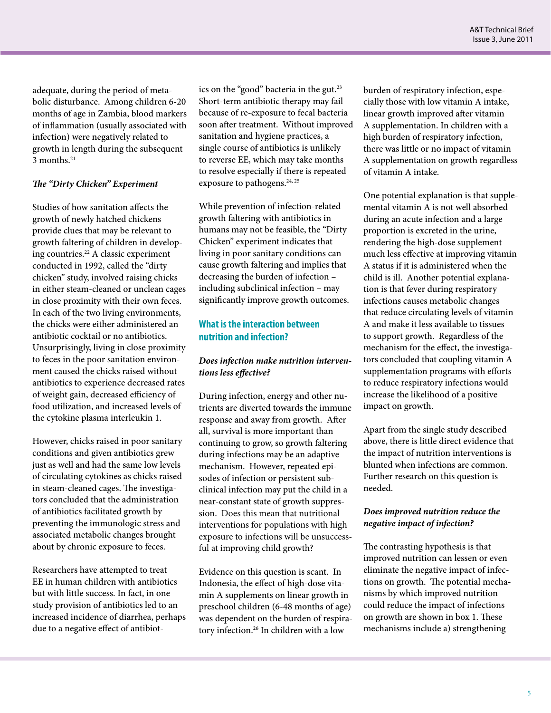adequate, during the period of metabolic disturbance. Among children 6-20 months of age in Zambia, blood markers of inflammation (usually associated with infection) were negatively related to growth in length during the subsequent 3 months.21

#### *The "Dirty Chicken" Experiment*

Studies of how sanitation affects the growth of newly hatched chickens provide clues that may be relevant to growth faltering of children in developing countries.22 A classic experiment conducted in 1992, called the "dirty chicken" study, involved raising chicks in either steam-cleaned or unclean cages in close proximity with their own feces. In each of the two living environments, the chicks were either administered an antibiotic cocktail or no antibiotics. Unsurprisingly, living in close proximity to feces in the poor sanitation environment caused the chicks raised without antibiotics to experience decreased rates of weight gain, decreased efficiency of food utilization, and increased levels of the cytokine plasma interleukin 1.

However, chicks raised in poor sanitary conditions and given antibiotics grew just as well and had the same low levels of circulating cytokines as chicks raised in steam-cleaned cages. The investigators concluded that the administration of antibiotics facilitated growth by preventing the immunologic stress and associated metabolic changes brought about by chronic exposure to feces.

Researchers have attempted to treat EE in human children with antibiotics but with little success. In fact, in one study provision of antibiotics led to an increased incidence of diarrhea, perhaps due to a negative effect of antibiotics on the "good" bacteria in the gut.<sup>23</sup> Short-term antibiotic therapy may fail because of re-exposure to fecal bacteria soon after treatment. Without improved sanitation and hygiene practices, a single course of antibiotics is unlikely to reverse EE, which may take months to resolve especially if there is repeated exposure to pathogens.<sup>24, 25</sup>

While prevention of infection-related growth faltering with antibiotics in humans may not be feasible, the "Dirty Chicken" experiment indicates that living in poor sanitary conditions can cause growth faltering and implies that decreasing the burden of infection – including subclinical infection – may significantly improve growth outcomes.

## **What is the interaction between nutrition and infection?**

#### *Does infection make nutrition interventions less effective?*

During infection, energy and other nutrients are diverted towards the immune response and away from growth. After all, survival is more important than continuing to grow, so growth faltering during infections may be an adaptive mechanism. However, repeated episodes of infection or persistent subclinical infection may put the child in a near-constant state of growth suppression. Does this mean that nutritional interventions for populations with high exposure to infections will be unsuccessful at improving child growth?

Evidence on this question is scant. In Indonesia, the effect of high-dose vitamin A supplements on linear growth in preschool children (6-48 months of age) was dependent on the burden of respiratory infection.26 In children with a low

burden of respiratory infection, especially those with low vitamin A intake, linear growth improved after vitamin A supplementation. In children with a high burden of respiratory infection, there was little or no impact of vitamin A supplementation on growth regardless of vitamin A intake.

One potential explanation is that supplemental vitamin A is not well absorbed during an acute infection and a large proportion is excreted in the urine, rendering the high-dose supplement much less effective at improving vitamin A status if it is administered when the child is ill. Another potential explanation is that fever during respiratory infections causes metabolic changes that reduce circulating levels of vitamin A and make it less available to tissues to support growth. Regardless of the mechanism for the effect, the investigators concluded that coupling vitamin A supplementation programs with efforts to reduce respiratory infections would increase the likelihood of a positive impact on growth.

Apart from the single study described above, there is little direct evidence that the impact of nutrition interventions is blunted when infections are common. Further research on this question is needed.

#### *Does improved nutrition reduce the negative impact of infection?*

The contrasting hypothesis is that improved nutrition can lessen or even eliminate the negative impact of infections on growth. The potential mechanisms by which improved nutrition could reduce the impact of infections on growth are shown in box 1. These mechanisms include a) strengthening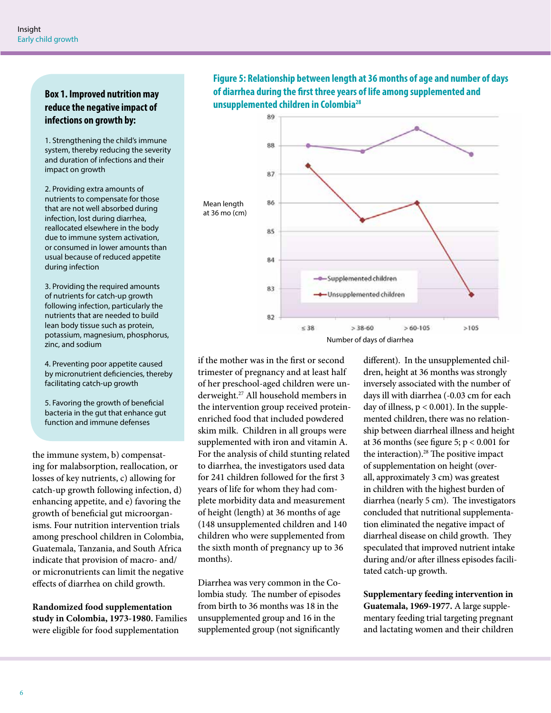# **Box 1. Improved nutrition may reduce the negative impact of infections on growth by:**

1. Strengthening the child's immune system, thereby reducing the severity and duration of infections and their impact on growth

2. Providing extra amounts of nutrients to compensate for those that are not well absorbed during infection, lost during diarrhea, reallocated elsewhere in the body due to immune system activation, or consumed in lower amounts than usual because of reduced appetite during infection

3. Providing the required amounts of nutrients for catch-up growth following infection, particularly the nutrients that are needed to build lean body tissue such as protein, potassium, magnesium, phosphorus, zinc, and sodium

4. Preventing poor appetite caused by micronutrient deficiencies, thereby facilitating catch-up growth

5. Favoring the growth of beneficial bacteria in the gut that enhance gut function and immune defenses

the immune system, b) compensating for malabsorption, reallocation, or losses of key nutrients, c) allowing for catch-up growth following infection, d) enhancing appetite, and e) favoring the growth of beneficial gut microorganisms. Four nutrition intervention trials among preschool children in Colombia, Guatemala, Tanzania, and South Africa indicate that provision of macro- and/ or micronutrients can limit the negative effects of diarrhea on child growth.

**Randomized food supplementation study in Colombia, 1973-1980.** Families were eligible for food supplementation

**Figure 5: Relationship between length at 36 months of age and number of days of diarrhea during the first three years of life among supplemented and unsupplemented children in Colombia28**



if the mother was in the first or second trimester of pregnancy and at least half of her preschool-aged children were underweight.27 All household members in the intervention group received proteinenriched food that included powdered skim milk. Children in all groups were supplemented with iron and vitamin A. For the analysis of child stunting related to diarrhea, the investigators used data for 241 children followed for the first 3 years of life for whom they had complete morbidity data and measurement of height (length) at 36 months of age (148 unsupplemented children and 140 children who were supplemented from the sixth month of pregnancy up to 36 months).

Diarrhea was very common in the Colombia study. The number of episodes from birth to 36 months was 18 in the unsupplemented group and 16 in the supplemented group (not significantly

different). In the unsupplemented children, height at 36 months was strongly inversely associated with the number of days ill with diarrhea (-0.03 cm for each day of illness,  $p < 0.001$ ). In the supplemented children, there was no relationship between diarrheal illness and height at 36 months (see figure 5; p < 0.001 for the interaction). $28$  The positive impact of supplementation on height (overall, approximately 3 cm) was greatest in children with the highest burden of diarrhea (nearly 5 cm). The investigators concluded that nutritional supplementation eliminated the negative impact of diarrheal disease on child growth. They speculated that improved nutrient intake during and/or after illness episodes facilitated catch-up growth.

**Supplementary feeding intervention in Guatemala, 1969-1977.** A large supplementary feeding trial targeting pregnant and lactating women and their children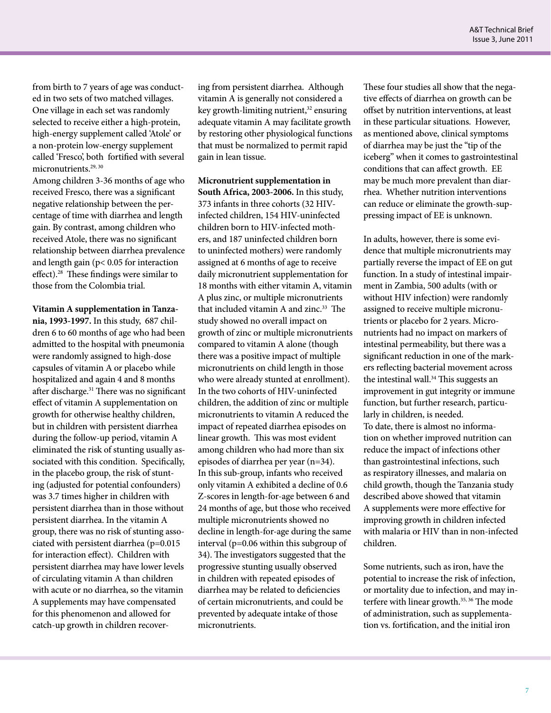from birth to 7 years of age was conducted in two sets of two matched villages. One village in each set was randomly selected to receive either a high-protein, high-energy supplement called 'Atole' or a non-protein low-energy supplement called 'Fresco', both fortified with several micronutrients.<sup>29, 30</sup>

Among children 3-36 months of age who received Fresco, there was a significant negative relationship between the percentage of time with diarrhea and length gain. By contrast, among children who received Atole, there was no significant relationship between diarrhea prevalence and length gain (p< 0.05 for interaction effect).28 These findings were similar to those from the Colombia trial.

**Vitamin A supplementation in Tanzania, 1993-1997.** In this study, 687 children 6 to 60 months of age who had been admitted to the hospital with pneumonia were randomly assigned to high-dose capsules of vitamin A or placebo while hospitalized and again 4 and 8 months after discharge.<sup>31</sup> There was no significant effect of vitamin A supplementation on growth for otherwise healthy children, but in children with persistent diarrhea during the follow-up period, vitamin A eliminated the risk of stunting usually associated with this condition. Specifically, in the placebo group, the risk of stunting (adjusted for potential confounders) was 3.7 times higher in children with persistent diarrhea than in those without persistent diarrhea. In the vitamin A group, there was no risk of stunting associated with persistent diarrhea (p=0.015 for interaction effect). Children with persistent diarrhea may have lower levels of circulating vitamin A than children with acute or no diarrhea, so the vitamin A supplements may have compensated for this phenomenon and allowed for catch-up growth in children recovering from persistent diarrhea. Although vitamin A is generally not considered a key growth-limiting nutrient, $32$  ensuring adequate vitamin A may facilitate growth by restoring other physiological functions that must be normalized to permit rapid gain in lean tissue.

**Micronutrient supplementation in South Africa, 2003-2006.** In this study, 373 infants in three cohorts (32 HIVinfected children, 154 HIV-uninfected children born to HIV-infected mothers, and 187 uninfected children born to uninfected mothers) were randomly assigned at 6 months of age to receive daily micronutrient supplementation for 18 months with either vitamin A, vitamin A plus zinc, or multiple micronutrients that included vitamin A and zinc.<sup>33</sup> The study showed no overall impact on growth of zinc or multiple micronutrients compared to vitamin A alone (though there was a positive impact of multiple micronutrients on child length in those who were already stunted at enrollment). In the two cohorts of HIV-uninfected children, the addition of zinc or multiple micronutrients to vitamin A reduced the impact of repeated diarrhea episodes on linear growth. This was most evident among children who had more than six episodes of diarrhea per year (n=34). In this sub-group, infants who received only vitamin A exhibited a decline of 0.6 Z-scores in length-for-age between 6 and 24 months of age, but those who received multiple micronutrients showed no decline in length-for-age during the same interval (p=0.06 within this subgroup of 34). The investigators suggested that the progressive stunting usually observed in children with repeated episodes of diarrhea may be related to deficiencies of certain micronutrients, and could be prevented by adequate intake of those micronutrients.

These four studies all show that the negative effects of diarrhea on growth can be offset by nutrition interventions, at least in these particular situations. However, as mentioned above, clinical symptoms of diarrhea may be just the "tip of the iceberg" when it comes to gastrointestinal conditions that can affect growth. EE may be much more prevalent than diarrhea. Whether nutrition interventions can reduce or eliminate the growth-suppressing impact of EE is unknown.

In adults, however, there is some evidence that multiple micronutrients may partially reverse the impact of EE on gut function. In a study of intestinal impairment in Zambia, 500 adults (with or without HIV infection) were randomly assigned to receive multiple micronutrients or placebo for 2 years. Micronutrients had no impact on markers of intestinal permeability, but there was a significant reduction in one of the markers reflecting bacterial movement across the intestinal wall.<sup>34</sup> This suggests an improvement in gut integrity or immune function, but further research, particularly in children, is needed. To date, there is almost no information on whether improved nutrition can reduce the impact of infections other than gastrointestinal infections, such as respiratory illnesses, and malaria on child growth, though the Tanzania study described above showed that vitamin A supplements were more effective for improving growth in children infected with malaria or HIV than in non-infected children.

Some nutrients, such as iron, have the potential to increase the risk of infection, or mortality due to infection, and may interfere with linear growth.<sup>35, 36</sup> The mode of administration, such as supplementation vs. fortification, and the initial iron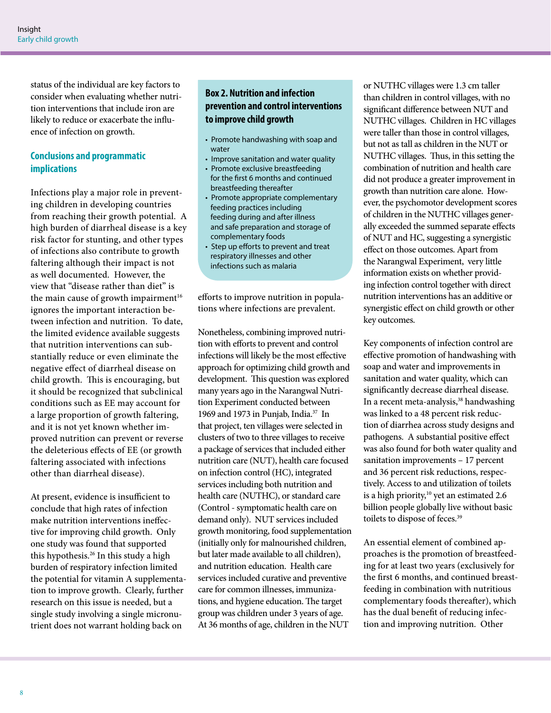status of the individual are key factors to consider when evaluating whether nutrition interventions that include iron are likely to reduce or exacerbate the influence of infection on growth.

# **Conclusions and programmatic implications**

Infections play a major role in preventing children in developing countries from reaching their growth potential. A high burden of diarrheal disease is a key risk factor for stunting, and other types of infections also contribute to growth faltering although their impact is not as well documented. However, the view that "disease rather than diet" is the main cause of growth impairment $16$ ignores the important interaction between infection and nutrition. To date, the limited evidence available suggests that nutrition interventions can substantially reduce or even eliminate the negative effect of diarrheal disease on child growth. This is encouraging, but it should be recognized that subclinical conditions such as EE may account for a large proportion of growth faltering, and it is not yet known whether improved nutrition can prevent or reverse the deleterious effects of EE (or growth faltering associated with infections other than diarrheal disease).

At present, evidence is insufficient to conclude that high rates of infection make nutrition interventions ineffective for improving child growth. Only one study was found that supported this hypothesis.26 In this study a high burden of respiratory infection limited the potential for vitamin A supplementation to improve growth. Clearly, further research on this issue is needed, but a single study involving a single micronutrient does not warrant holding back on

# **Box 2. Nutrition and infection prevention and control interventions to improve child growth**

- Promote handwashing with soap and water
- Improve sanitation and water quality
- Promote exclusive breastfeeding for the first 6 months and continued breastfeeding thereafter
- Promote appropriate complementary feeding practices including feeding during and after illness and safe preparation and storage of complementary foods
- Step up efforts to prevent and treat respiratory illnesses and other infections such as malaria

efforts to improve nutrition in populations where infections are prevalent.

Nonetheless, combining improved nutrition with efforts to prevent and control infections will likely be the most effective approach for optimizing child growth and development. This question was explored many years ago in the Narangwal Nutrition Experiment conducted between 1969 and 1973 in Punjab, India.<sup>37</sup> In that project, ten villages were selected in clusters of two to three villages to receive a package of services that included either nutrition care (NUT), health care focused on infection control (HC), integrated services including both nutrition and health care (NUTHC), or standard care (Control - symptomatic health care on demand only). NUT services included growth monitoring, food supplementation (initially only for malnourished children, but later made available to all children), and nutrition education. Health care services included curative and preventive care for common illnesses, immunizations, and hygiene education. The target group was children under 3 years of age. At 36 months of age, children in the NUT

or NUTHC villages were 1.3 cm taller than children in control villages, with no significant difference between NUT and NUTHC villages. Children in HC villages were taller than those in control villages, but not as tall as children in the NUT or NUTHC villages. Thus, in this setting the combination of nutrition and health care did not produce a greater improvement in growth than nutrition care alone. However, the psychomotor development scores of children in the NUTHC villages generally exceeded the summed separate effects of NUT and HC, suggesting a synergistic effect on those outcomes. Apart from the Narangwal Experiment, very little information exists on whether providing infection control together with direct nutrition interventions has an additive or synergistic effect on child growth or other key outcomes.

Key components of infection control are effective promotion of handwashing with soap and water and improvements in sanitation and water quality, which can significantly decrease diarrheal disease. In a recent meta-analysis,<sup>38</sup> handwashing was linked to a 48 percent risk reduction of diarrhea across study designs and pathogens. A substantial positive effect was also found for both water quality and sanitation improvements – 17 percent and 36 percent risk reductions, respectively. Access to and utilization of toilets is a high priority, $10$  yet an estimated 2.6 billion people globally live without basic toilets to dispose of feces.<sup>39</sup>

An essential element of combined approaches is the promotion of breastfeeding for at least two years (exclusively for the first 6 months, and continued breastfeeding in combination with nutritious complementary foods thereafter), which has the dual benefit of reducing infection and improving nutrition. Other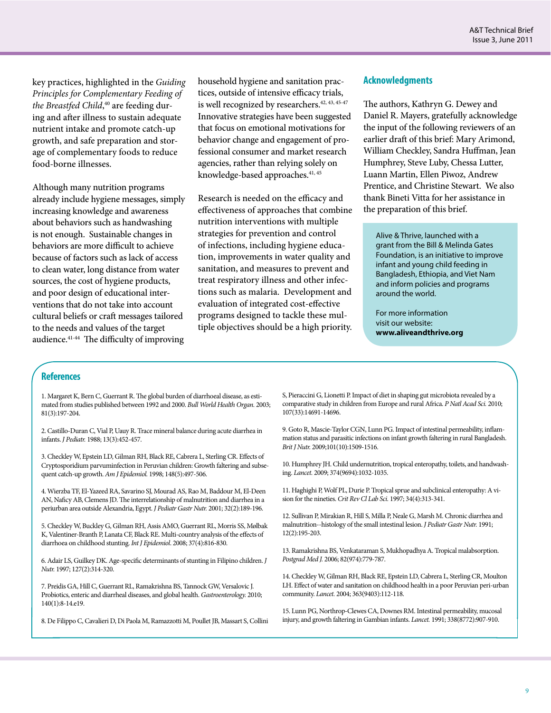key practices, highlighted in the *Guiding Principles for Complementary Feeding of the Breastfed Child*, 40 are feeding during and after illness to sustain adequate nutrient intake and promote catch-up growth, and safe preparation and storage of complementary foods to reduce food-borne illnesses.

Although many nutrition programs already include hygiene messages, simply increasing knowledge and awareness about behaviors such as handwashing is not enough. Sustainable changes in behaviors are more difficult to achieve because of factors such as lack of access to clean water, long distance from water sources, the cost of hygiene products, and poor design of educational interventions that do not take into account cultural beliefs or craft messages tailored to the needs and values of the target audience.41-44 The difficulty of improving

household hygiene and sanitation practices, outside of intensive efficacy trials, is well recognized by researchers.<sup>42, 43, 45-47</sup> Innovative strategies have been suggested that focus on emotional motivations for behavior change and engagement of professional consumer and market research agencies, rather than relying solely on knowledge-based approaches.<sup>41, 45</sup>

Research is needed on the efficacy and effectiveness of approaches that combine nutrition interventions with multiple strategies for prevention and control of infections, including hygiene education, improvements in water quality and sanitation, and measures to prevent and treat respiratory illness and other infections such as malaria. Development and evaluation of integrated cost-effective programs designed to tackle these multiple objectives should be a high priority.

#### **Acknowledgments**

The authors, Kathryn G. Dewey and Daniel R. Mayers, gratefully acknowledge the input of the following reviewers of an earlier draft of this brief: Mary Arimond, William Checkley, Sandra Huffman, Jean Humphrey, Steve Luby, Chessa Lutter, Luann Martin, Ellen Piwoz, Andrew Prentice, and Christine Stewart. We also thank Bineti Vitta for her assistance in the preparation of this brief.

Alive & Thrive, launched with a grant from the Bill & Melinda Gates Foundation, is an initiative to improve infant and young child feeding in Bangladesh, Ethiopia, and Viet Nam and inform policies and programs around the world.

For more information visit our website: **www.aliveandthrive.org**

## **References**

1. Margaret K, Bern C, Guerrant R. The global burden of diarrhoeal disease, as estimated from studies published between 1992 and 2000. *Bull World Health Organ.* 2003; 81(3):197-204.

2. Castillo-Duran C, Vial P, Uauy R. Trace mineral balance during acute diarrhea in infants. *J Pediatr.* 1988; 13(3):452-457.

3. Checkley W, Epstein LD, Gilman RH, Black RE, Cabrera L, Sterling CR. Effects of Cryptosporidium parvuminfection in Peruvian children: Growth faltering and subsequent catch-up growth. *Am J Epidemiol.* 1998; 148(5):497-506.

4. Wierzba TF, El-Yazeed RA, Savarino SJ, Mourad AS, Rao M, Baddour M, El-Deen AN, Naficy AB, Clemens JD. The interrelationship of malnutrition and diarrhea in a periurban area outside Alexandria, Egypt. *J Pediatr Gastr Nutr.* 2001; 32(2):189-196.

5. Checkley W, Buckley G, Gilman RH, Assis AMO, Guerrant RL, Morris SS, Mølbak K, Valentiner-Branth P, Lanata CF, Black RE. Multi-country analysis of the effects of diarrhoea on childhood stunting. *Int J Epidemiol*. 2008; 37(4):816-830.

6. Adair LS, Guilkey DK. Age-specific determinants of stunting in Filipino children. *J Nutr.* 1997; 127(2):314-320.

7. Preidis GA, Hill C, Guerrant RL, Ramakrishna BS, Tannock GW, Versalovic J. Probiotics, enteric and diarrheal diseases, and global health. *Gastroenterology.* 2010; 140(1):8-14.e19.

8. De Filippo C, Cavalieri D, Di Paola M, Ramazzotti M, Poullet JB, Massart S, Collini

S, Pieraccini G, Lionetti P. Impact of diet in shaping gut microbiota revealed by a comparative study in children from Europe and rural Africa. *P Natl Acad Sci.* 2010; 107(33):14691-14696.

9. Goto R, Mascie-Taylor CGN, Lunn PG. Impact of intestinal permeability, inflammation status and parasitic infections on infant growth faltering in rural Bangladesh. *Brit J Nutr.* 2009;101(10):1509-1516.

10. Humphrey JH. Child undernutrition, tropical enteropathy, toilets, and handwashing. *Lancet.* 2009; 374(9694):1032-1035.

11. Haghighi P, Wolf PL, Durie P. Tropical sprue and subclinical enteropathy: A vision for the nineties. *Crit Rev Cl Lab Sci.* 1997; 34(4):313-341.

12. Sullivan P, Mirakian R, Hill S, Milla P, Neale G, Marsh M. Chronic diarrhea and malnutrition--histology of the small intestinal lesion. *J Pediatr Gastr Nutr.* 1991; 12(2):195-203.

13. Ramakrishna BS, Venkataraman S, Mukhopadhya A. Tropical malabsorption. *Postgrad Med J.* 2006; 82(974):779-787.

14. Checkley W, Gilman RH, Black RE, Epstein LD, Cabrera L, Sterling CR, Moulton LH. Effect of water and sanitation on childhood health in a poor Peruvian peri-urban community. *Lancet.* 2004; 363(9403):112-118.

15. Lunn PG, Northrop-Clewes CA, Downes RM. Intestinal permeability, mucosal injury, and growth faltering in Gambian infants. *Lancet.* 1991; 338(8772):907-910.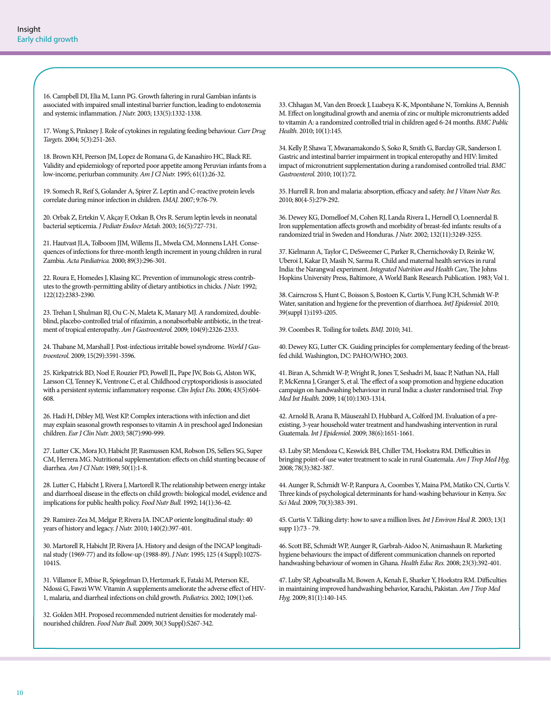16. Campbell DI, Elia M, Lunn PG. Growth faltering in rural Gambian infants is associated with impaired small intestinal barrier function, leading to endotoxemia and systemic inflammation. *J Nutr.* 2003; 133(5):1332-1338.

17. Wong S, Pinkney J. Role of cytokines in regulating feeding behaviour. *Curr Drug Targets.* 2004; 5(3):251-263.

18. Brown KH, Peerson JM, Lopez de Romana G, de Kanashiro HC, Black RE. Validity and epidemiology of reported poor appetite among Peruvian infants from a low-income, periurban community. *Am J Cl Nutr.* 1995; 61(1):26-32.

19. Somech R, Reif S, Golander A, Spirer Z. Leptin and C-reactive protein levels correlate during minor infection in children. *IMAJ.* 2007; 9:76-79.

20. Orbak Z, Ertekin V, Akçay F, Ozkan B, Ors R. Serum leptin levels in neonatal bacterial septicemia. *J Pediatr Endocr Metab.* 2003; 16(5):727-731.

21. Hautvast JLA, Tolboom JJM, Willems JL, Mwela CM, Monnens LAH. Consequences of infections for three-month length increment in young children in rural Zambia. *Acta Pædiatrica.* 2000; 89(3):296-301.

22. Roura E, Homedes J, Klasing KC. Prevention of immunologic stress contributes to the growth-permitting ability of dietary antibiotics in chicks. *J Nutr.* 1992; 122(12):2383-2390.

23. Trehan I, Shulman RJ, Ou C-N, Maleta K, Manary MJ. A randomized, doubleblind, placebo-controlled trial of rifaximin, a nonabsorbable antibiotic, in the treatment of tropical enteropathy. *Am J Gastroenterol.* 2009; 104(9):2326-2333.

24. Thabane M, Marshall J. Post-infectious irritable bowel syndrome. *World J Gastroenterol.* 2009; 15(29):3591-3596.

25. Kirkpatrick BD, Noel F, Rouzier PD, Powell JL, Pape JW, Bois G, Alston WK, Larsson CJ, Tenney K, Ventrone C, et al. Childhood cryptosporidiosis is associated with a persistent systemic inflammatory response. *Clin Infect Dis.* 2006; 43(5):604- 608.

26. Hadi H, Dibley MJ, West KP. Complex interactions with infection and diet may explain seasonal growth responses to vitamin A in preschool aged Indonesian children. *Eur J Clin Nutr. 2003*; 58(7):990-999.

27. Lutter CK, Mora JO, Habicht JP, Rasmussen KM, Robson DS, Sellers SG, Super CM, Herrera MG. Nutritional supplementation: effects on child stunting because of diarrhea. *Am J Cl Nutr.* 1989; 50(1):1-8.

28. Lutter C, Habicht J, Rivera J, Martorell R.The relationship between energy intake and diarrhoeal disease in the effects on child growth: biological model, evidence and implications for public health policy. *Food Nutr Bull.* 1992; 14(1):36-42.

29. Ramirez-Zea M, Melgar P, Rivera JA. INCAP oriente longitudinal study: 40 years of history and legacy. *J Nutr.* 2010; 140(2):397-401.

30. Martorell R, Habicht JP, Rivera JA. History and design of the INCAP longitudinal study (1969-77) and its follow-up (1988-89). *J Nutr.* 1995; 125 (4 Suppl):1027S-1041S.

31. Villamor E, Mbise R, Spiegelman D, Hertzmark E, Fataki M, Peterson KE, Ndossi G, Fawzi WW. Vitamin A supplements ameliorate the adverse effect of HIV-1, malaria, and diarrheal infections on child growth. *Pediatrics.* 2002; 109(1):e6.

32. Golden MH. Proposed recommended nutrient densities for moderately malnourished children. *Food Nutr Bull.* 2009; 30(3 Suppl):S267-342.

33. Chhagan M, Van den Broeck J, Luabeya K-K, Mpontshane N, Tomkins A, Bennish M. Effect on longitudinal growth and anemia of zinc or multiple micronutrients added to vitamin A: a randomized controlled trial in children aged 6-24 months. *BMC Public Health.* 2010; 10(1):145.

34. Kelly P, Shawa T, Mwanamakondo S, Soko R, Smith G, Barclay GR, Sanderson I. Gastric and intestinal barrier impairment in tropical enteropathy and HIV: limited impact of micronutrient supplementation during a randomised controlled trial. *BMC Gastroenterol.* 2010; 10(1):72.

35. Hurrell R. Iron and malaria: absorption, efficacy and safety. *Int J Vitam Nutr Res.*  2010; 80(4-5):279-292.

36. Dewey KG, Domelloef M, Cohen RJ, Landa Rivera L, Hernell O, Loennerdal B. Iron supplementation affects growth and morbidity of breast-fed infants: results of a randomized trial in Sweden and Honduras. *J Nutr.* 2002; 132(11):3249-3255.

37. Kielmann A, Taylor C, DeSweemer C, Parker R, Chernichovsky D, Reinke W, Uberoi I, Kakar D, Masih N, Sarma R. Child and maternal health services in rural India: the Narangwal experiment. *Integrated Nutrition and Health Care*, The Johns Hopkins University Press, Baltimore, A World Bank Research Publication. 1983; Vol 1.

38. Cairncross S, Hunt C, Boisson S, Bostoen K, Curtis V, Fung ICH, Schmidt W-P. Water, sanitation and hygiene for the prevention of diarrhoea. *IntJ Epidemiol.* 2010; 39(suppl 1):i193-i205.

39. Coombes R. Toiling for toilets. *BMJ.* 2010; 341.

40. Dewey KG, Lutter CK. Guiding principles for complementary feeding of the breastfed child. Washington, DC: PAHO/WHO; 2003.

41. Biran A, Schmidt W-P, Wright R, Jones T, Seshadri M, Isaac P, Nathan NA, Hall P, McKenna J, Granger S, et al. The effect of a soap promotion and hygiene education campaign on handwashing behaviour in rural India: a cluster randomised trial. *Trop Med Int Health.* 2009; 14(10):1303-1314.

42. Arnold B, Arana B, Mäusezahl D, Hubbard A, Colford JM. Evaluation of a preexisting, 3-year household water treatment and handwashing intervention in rural Guatemala. *Int J Epidemiol.* 2009; 38(6):1651-1661.

43. Luby SP, Mendoza C, Keswick BH, Chiller TM, Hoekstra RM. Difficulties in bringing point-of-use water treatment to scale in rural Guatemala. *Am J Trop Med Hyg.* 2008; 78(3):382-387.

44. Aunger R, Schmidt W-P, Ranpura A, Coombes Y, Maina PM, Matiko CN, Curtis V. Three kinds of psychological determinants for hand-washing behaviour in Kenya. *Soc Sci Med.* 2009; 70(3):383-391.

45. Curtis V. Talking dirty: how to save a million lives. *Int J Environ Heal R.* 2003; 13(1 supp 1):73 - 79.

46. Scott BE, Schmidt WP, Aunger R, Garbrah-Aidoo N, Animashaun R. Marketing hygiene behaviours: the impact of different communication channels on reported handwashing behaviour of women in Ghana. *Health Educ Res.* 2008; 23(3):392-401.

47. Luby SP, Agboatwalla M, Bowen A, Kenah E, Sharker Y, Hoekstra RM. Difficulties in maintaining improved handwashing behavior, Karachi, Pakistan. *Am J Trop Med Hyg.* 2009; 81(1):140-145.